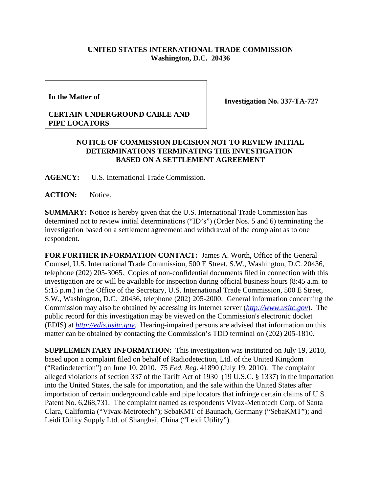## **UNITED STATES INTERNATIONAL TRADE COMMISSION Washington, D.C. 20436**

**In the Matter of**

## **CERTAIN UNDERGROUND CABLE AND PIPE LOCATORS**

**Investigation No. 337-TA-727**

## **NOTICE OF COMMISSION DECISION NOT TO REVIEW INITIAL DETERMINATIONS TERMINATING THE INVESTIGATION BASED ON A SETTLEMENT AGREEMENT**

**AGENCY:** U.S. International Trade Commission.

**ACTION:** Notice.

**SUMMARY:** Notice is hereby given that the U.S. International Trade Commission has determined not to review initial determinations ("ID's") (Order Nos. 5 and 6) terminating the investigation based on a settlement agreement and withdrawal of the complaint as to one respondent.

**FOR FURTHER INFORMATION CONTACT:** James A. Worth, Office of the General Counsel, U.S. International Trade Commission, 500 E Street, S.W., Washington, D.C. 20436, telephone (202) 205-3065. Copies of non-confidential documents filed in connection with this investigation are or will be available for inspection during official business hours (8:45 a.m. to 5:15 p.m.) in the Office of the Secretary, U.S. International Trade Commission, 500 E Street, S.W., Washington, D.C. 20436, telephone (202) 205-2000. General information concerning the Commission may also be obtained by accessing its Internet server (*http://www.usitc.gov*). The public record for this investigation may be viewed on the Commission's electronic docket (EDIS) at *http://edis.usitc.gov*. Hearing-impaired persons are advised that information on this matter can be obtained by contacting the Commission's TDD terminal on (202) 205-1810.

**SUPPLEMENTARY INFORMATION:** This investigation was instituted on July 19, 2010, based upon a complaint filed on behalf of Radiodetection, Ltd. of the United Kingdom ("Radiodetection") on June 10, 2010. 75 *Fed. Reg*. 41890 (July 19, 2010). The complaint alleged violations of section 337 of the Tariff Act of 1930 (19 U.S.C. § 1337) in the importation into the United States, the sale for importation, and the sale within the United States after importation of certain underground cable and pipe locators that infringe certain claims of U.S. Patent No. 6,268,731. The complaint named as respondents Vivax-Metrotech Corp. of Santa Clara, California ("Vivax-Metrotech"); SebaKMT of Baunach, Germany ("SebaKMT"); and Leidi Utility Supply Ltd. of Shanghai, China ("Leidi Utility").